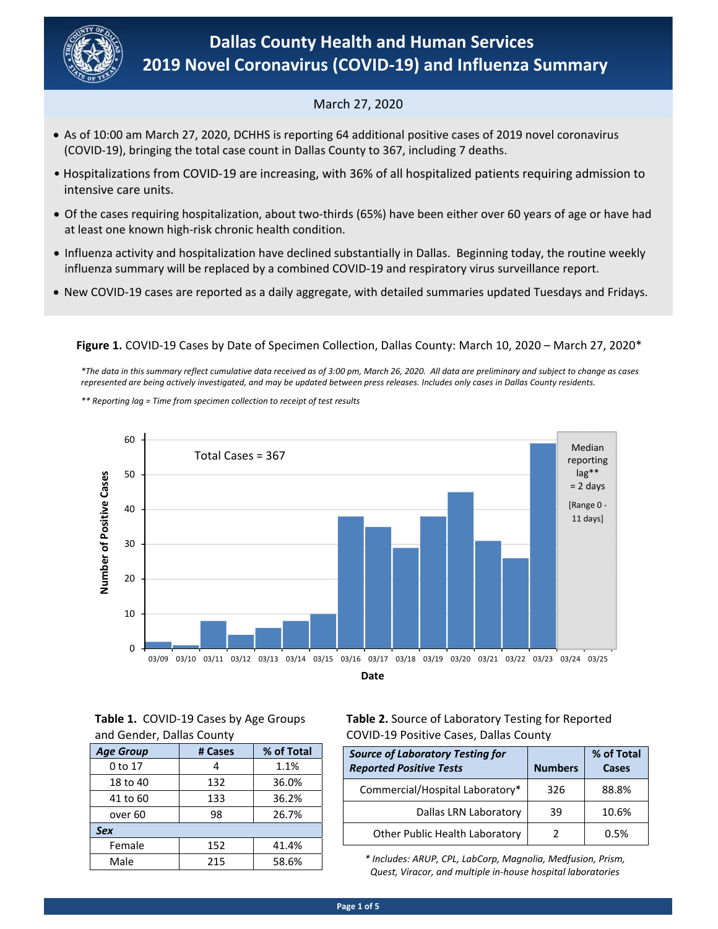

# March 27, 2020

- (COVID‐19), bringing the total case count in Dallas County to 367, including 7 deaths. As of 10:00 am March 27, 2020, DCHHS is reporting 64 additional positive cases of 2019 novel coronavirus
- Hospitalizations from COVID‐19 are increasing, with 36% of all hospitalized patients requiring admission to intensive care units.
- Of the cases requiring hospitalization, about two‐thirds (65%) have been either over 60 years of age or have had at least one known high‐risk chronic health condition.
- Influenza activity and hospitalization have declined substantially in Dallas. Beginning today, the routine weekly influenza summary will be replaced by a combined COVID‐19 and respiratory virus surveillance report.
- New COVID‐19 cases are reported as a daily aggregate, with detailed summaries updated Tuesdays and Fridays.

# **Figure 1.** COVID‐19 Cases by Date of Specimen Collection, Dallas County: March 10, 2020 – March 27, 2020\*

 *\*The data in this summary reflect cumulative data received as of 3:00 pm, March 26, 2020. All data are preliminary and subject to change as cases represented are being actively investigated, and may be updated between press releases. Includes only cases in Dallas County residents.* 

70 *\*\* Reporting lag = Time from specimen collection to receipt of test results* 



## **Table 1.**  COVID‐19 Cases by Age Groups and Gender, Dallas County

| <b>Age Group</b>   | # Cases | % of Total |
|--------------------|---------|------------|
| 0 to 17            |         | 1.1%       |
| 18 to 40           | 132     | 36.0%      |
| 41 to 60           | 133     | 36.2%      |
| over <sub>60</sub> | 98      | 26.7%      |
| <b>Sex</b>         |         |            |
| Female             | 152     | 41.4%      |
| Male               | 215     | 58.6%      |

# **Table 2.** Source of Laboratory Testing for Reported COVID‐19 Positive Cases, Dallas County

| <b>Source of Laboratory Testing for</b><br><b>Reported Positive Tests</b> | <b>Numbers</b> | % of Total<br>Cases |
|---------------------------------------------------------------------------|----------------|---------------------|
| Commercial/Hospital Laboratory*                                           | 326            | 88.8%               |
| Dallas LRN Laboratory                                                     | 39             | 10.6%               |
| Other Public Health Laboratory                                            |                | 0 5%                |

*\* Includes: ARUP, CPL, LabCorp, Magnolia, Medfusion, Prism, Quest, Viracor, and multiple in‐house hospital laboratories*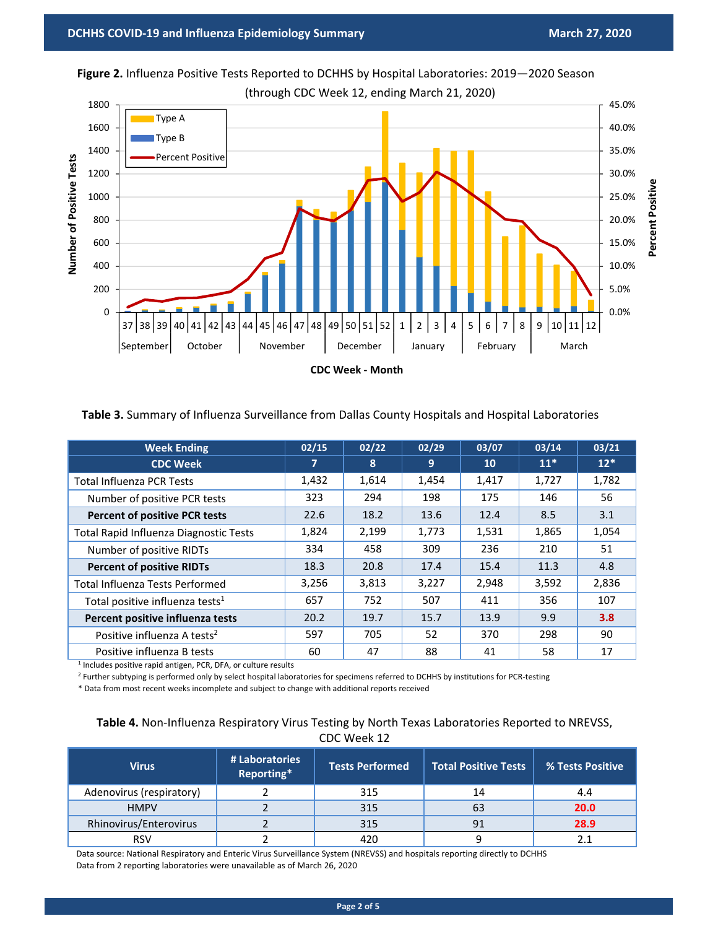

**Figure 2.** Influenza Positive Tests Reported to DCHHS by Hospital Laboratories: 2019—2020 Season (through CDC Week 12, ending March 21, 2020)

### **Table 3.** Summary of Influenza Surveillance from Dallas County Hospitals and Hospital Laboratories

| <b>Week Ending</b>                            | 02/15 | 02/22 | 02/29 | 03/07 | 03/14 | 03/21 |
|-----------------------------------------------|-------|-------|-------|-------|-------|-------|
| <b>CDC Week</b>                               | 7     | 8     | 9     | 10    | $11*$ | $12*$ |
| <b>Total Influenza PCR Tests</b>              | 1,432 | 1,614 | 1,454 | 1,417 | 1,727 | 1,782 |
| Number of positive PCR tests                  | 323   | 294   | 198   | 175   | 146   | 56    |
| <b>Percent of positive PCR tests</b>          | 22.6  | 18.2  | 13.6  | 12.4  | 8.5   | 3.1   |
| <b>Total Rapid Influenza Diagnostic Tests</b> | 1,824 | 2,199 | 1,773 | 1,531 | 1,865 | 1,054 |
| Number of positive RIDTs                      | 334   | 458   | 309   | 236   | 210   | 51    |
| <b>Percent of positive RIDTs</b>              | 18.3  | 20.8  | 17.4  | 15.4  | 11.3  | 4.8   |
| <b>Total Influenza Tests Performed</b>        | 3,256 | 3,813 | 3,227 | 2,948 | 3,592 | 2,836 |
| Total positive influenza tests <sup>1</sup>   | 657   | 752   | 507   | 411   | 356   | 107   |
| Percent positive influenza tests              | 20.2  | 19.7  | 15.7  | 13.9  | 9.9   | 3.8   |
| Positive influenza A tests <sup>2</sup>       | 597   | 705   | 52    | 370   | 298   | 90    |
| Positive influenza B tests                    | 60    | 47    | 88    | 41    | 58    | 17    |

<sup>1</sup> Includes positive rapid antigen, PCR, DFA, or culture results

<sup>2</sup> Further subtyping is performed only by select hospital laboratories for specimens referred to DCHHS by institutions for PCR-testing

\* Data from most recent weeks incomplete and subject to change with additional reports received

## Table 4. Non-Influenza Respiratory Virus Testing by North Texas Laboratories Reported to NREVSS, CDC Week 12

| <b>Virus</b>             | # Laboratories<br>Reporting* | <b>Tests Performed</b> | <b>Total Positive Tests</b> | % Tests Positive |
|--------------------------|------------------------------|------------------------|-----------------------------|------------------|
| Adenovirus (respiratory) |                              | 315                    | 14                          | 4.4              |
| <b>HMPV</b>              |                              | 315                    | 63                          | 20.0             |
| Rhinovirus/Enterovirus   |                              | 315                    | 91                          | 28.9             |
| <b>RSV</b>               |                              | 420                    |                             |                  |

Data source: National Respiratory and Enteric Virus Surveillance System (NREVSS) and hospitals reporting directly to DCHHS Data from 2 reporting laboratories were unavailable as of March 26, 2020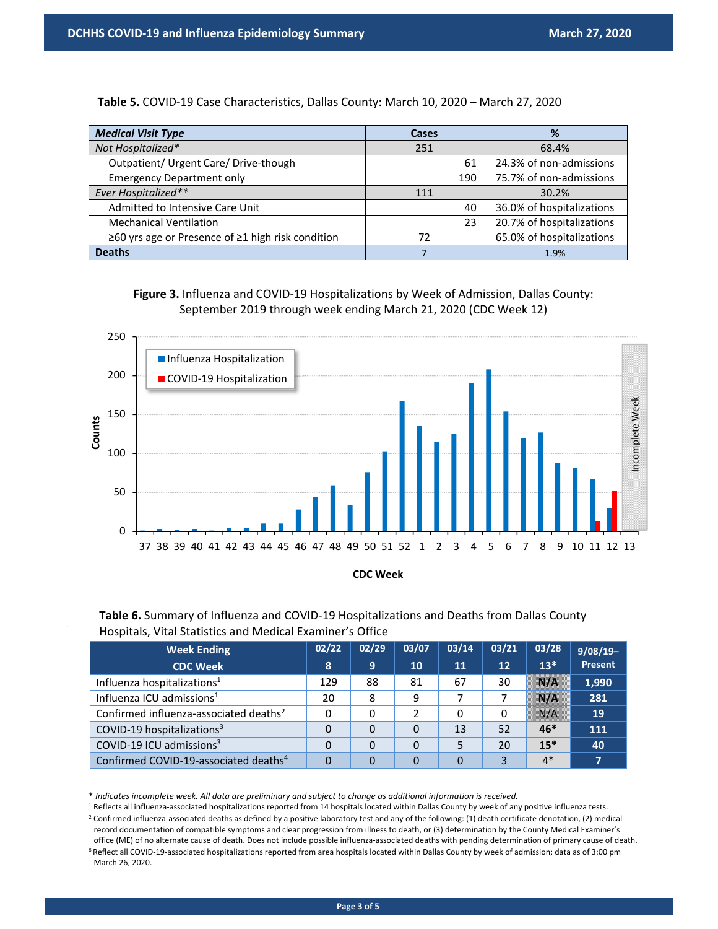**Table 5.** COVID‐19 Case Characteristics, Dallas County: March 10, 2020 – March 27, 2020

| <b>Medical Visit Type</b>                         | <b>Cases</b> | %                         |
|---------------------------------------------------|--------------|---------------------------|
| Not Hospitalized*                                 | 251          | 68.4%                     |
| Outpatient/ Urgent Care/ Drive-though             | 61           | 24.3% of non-admissions   |
| <b>Emergency Department only</b>                  | 190          | 75.7% of non-admissions   |
| Ever Hospitalized**                               | 111          | 30.2%                     |
| Admitted to Intensive Care Unit                   | 40           | 36.0% of hospitalizations |
| <b>Mechanical Ventilation</b>                     | 23           | 20.7% of hospitalizations |
| ≥60 yrs age or Presence of ≥1 high risk condition | 72           | 65.0% of hospitalizations |
| <b>Deaths</b>                                     |              | 1.9%                      |

**Figure 3.** Influenza and COVID‐19 Hospitalizations by Week of Admission, Dallas County: September 2019 through week ending March 21, 2020 (CDC Week 12)



**CDC Week**

Table 6. Summary of Influenza and COVID-19 Hospitalizations and Deaths from Dallas County Hospitals, Vital Statistics and Medical Examiner's Office

| <b>Week Ending</b>                                 | 02/22 | 02/29 | 03/07 | 03/14 | 03/21 | 03/28    | $9/08/19-$ |
|----------------------------------------------------|-------|-------|-------|-------|-------|----------|------------|
| <b>CDC Week</b>                                    | 8     | 9     | 10    | 11    | 12    | $13*$    | Present    |
| Influenza hospitalizations <sup>1</sup>            | 129   | 88    | 81    | 67    | 30    | NZ       | 1,990      |
| Influenza ICU admissions <sup>1</sup>              | 20    | 8     | 9     | 7     |       | <b>N</b> | 281        |
| Confirmed influenza-associated deaths <sup>2</sup> | 0     | 0     | 2     | 0     | 0     | SS 195   | 19         |
| COVID-19 hospitalizations <sup>3</sup>             | 0     | 0     | 0     | 13    | 52    | $46*$    | 111        |
| COVID-19 ICU admissions <sup>3</sup>               | 0     | 0     | 0     | 5     | 20    | $15*$    | 40         |
| Confirmed COVID-19-associated deaths <sup>4</sup>  | 0     | 0     | 0     | 0     | 3     | $4*$     |            |

\* *Indicates incomplete week. All data are preliminary and subject to change as additional information is received.*

<sup>1</sup> Reflects all influenza-associated hospitalizations reported from 14 hospitals located within Dallas County by week of any positive influenza tests.

<sup>2</sup> Confirmed influenza-associated deaths as defined by a positive laboratory test and any of the following: (1) death certificate denotation, (2) medical record documentation of compatible symptoms and clear progression from illness to death, or (3) determination by the County Medical Examiner's office (ME) of no alternate cause of death. Does not include possible influenza‐associated deaths with pending determination of primary cause of death.

8 Reflect all COVID-19-associated hospitalizations reported from area hospitals located within Dallas County by week of admission; data as of 3:00 pm March 26, 2020.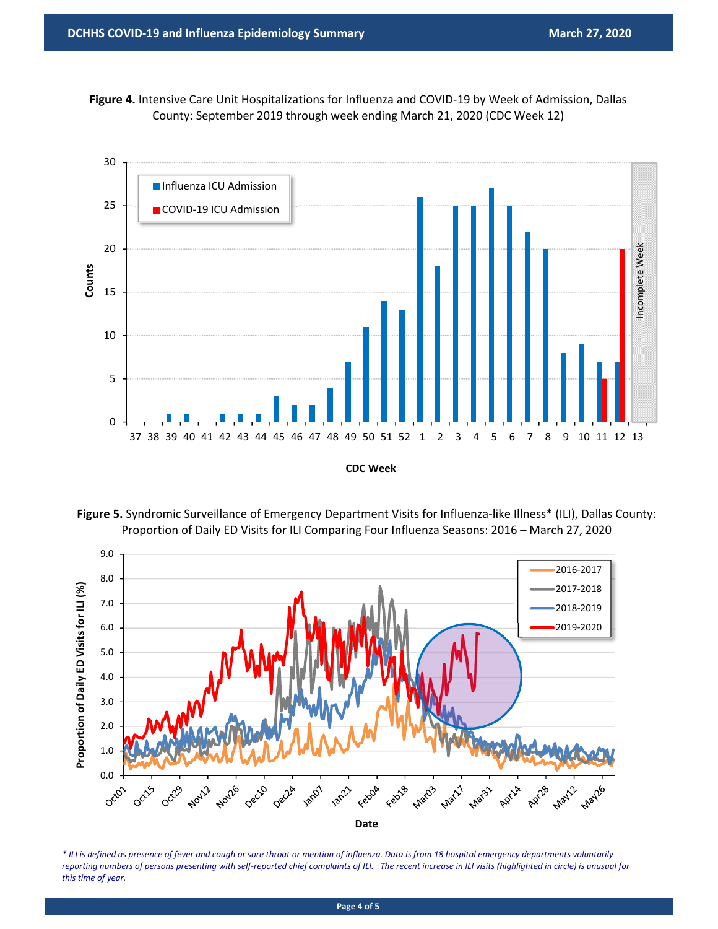Figure 4. Intensive Care Unit Hospitalizations for Influenza and COVID-19 by Week of Admission, Dallas County: September 2019 through week ending March 21, 2020 (CDC Week 12)



Figure 5. Syndromic Surveillance of Emergency Department Visits for Influenza-like Illness\* (ILI), Dallas County: Proportion of Daily ED Visits for ILI Comparing Four Influenza Seasons: 2016 – March 27, 2020



*\* ILI is defined as presence of fever and cough or sore throat or mention of influenza. Data is from 18 hospital emergency departments voluntarily reporting numbers of persons presenting with self‐reported chief complaints of ILI. The recent increase in ILI visits (highlighted in circle) is unusual for this time of year.* 

**Page 4 of 5**